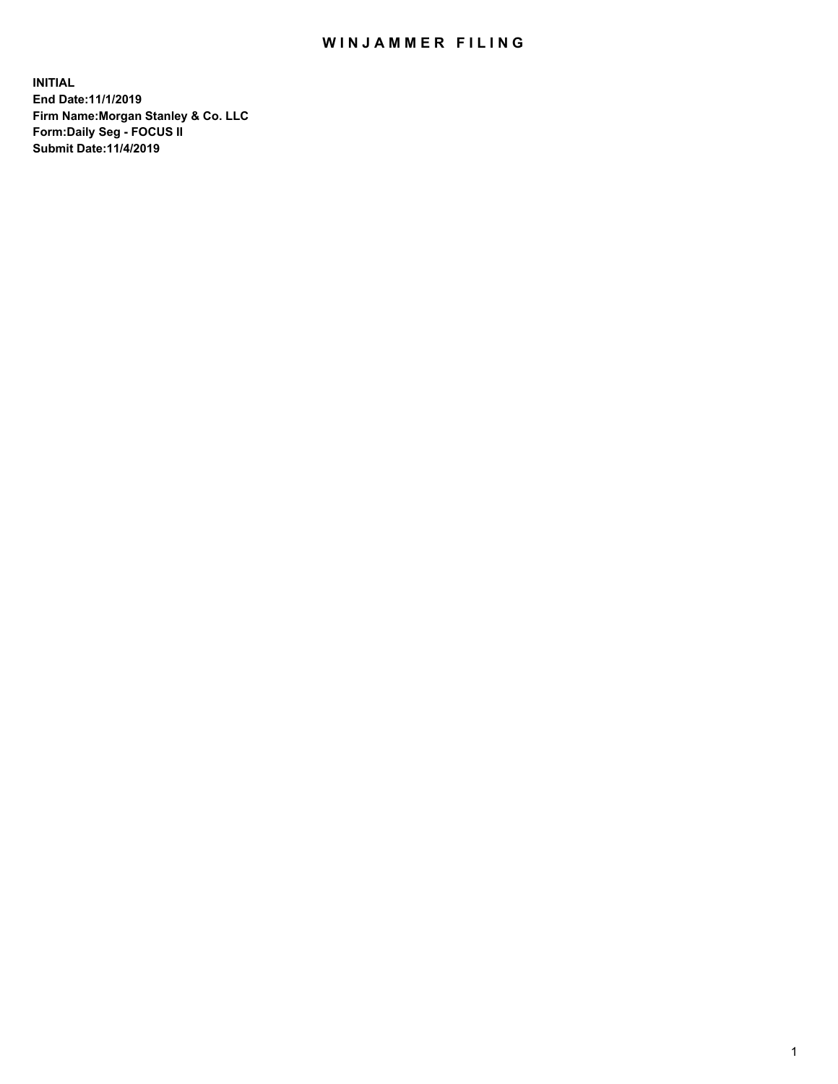## WIN JAMMER FILING

**INITIAL End Date:11/1/2019 Firm Name:Morgan Stanley & Co. LLC Form:Daily Seg - FOCUS II Submit Date:11/4/2019**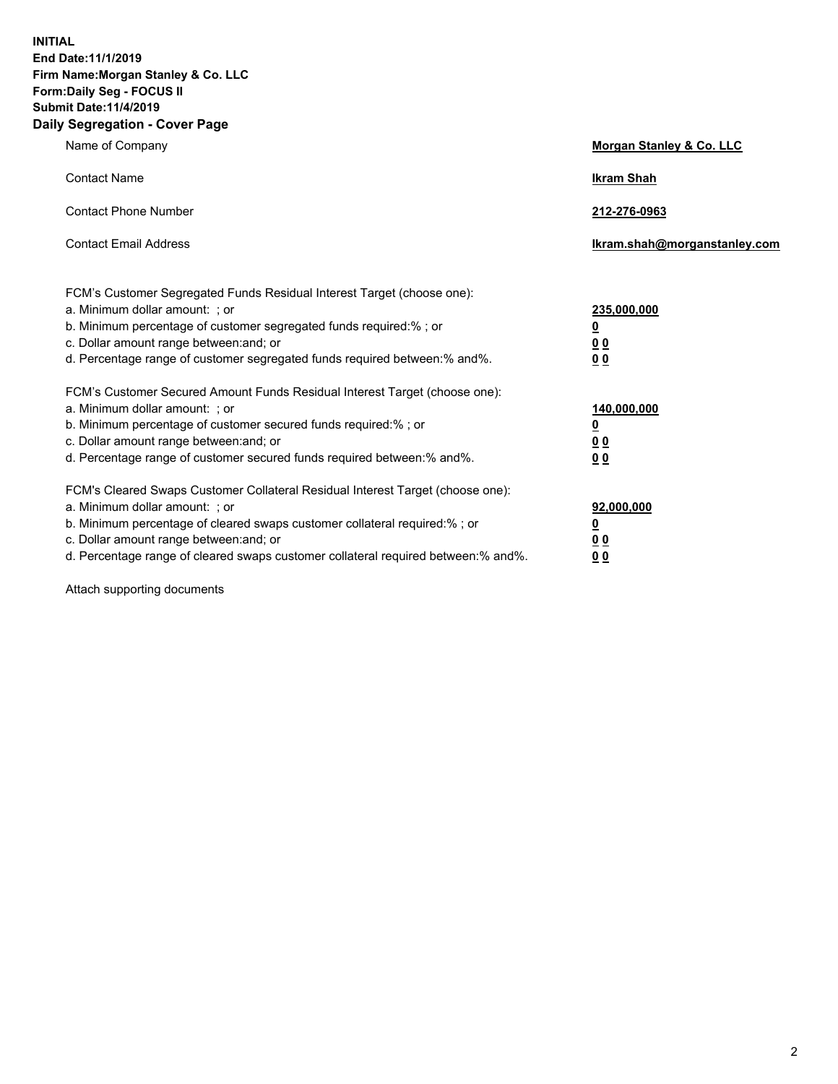**INITIAL End Date:11/1/2019 Firm Name:Morgan Stanley & Co. LLC Form:Daily Seg - FOCUS II Submit Date:11/4/2019 Daily Segregation - Cover Page**

| Name of Company                                                                                                                                                                                                                                                                                                                | Morgan Stanley & Co. LLC                               |
|--------------------------------------------------------------------------------------------------------------------------------------------------------------------------------------------------------------------------------------------------------------------------------------------------------------------------------|--------------------------------------------------------|
| <b>Contact Name</b>                                                                                                                                                                                                                                                                                                            | <b>Ikram Shah</b>                                      |
| <b>Contact Phone Number</b>                                                                                                                                                                                                                                                                                                    | 212-276-0963                                           |
| <b>Contact Email Address</b>                                                                                                                                                                                                                                                                                                   | Ikram.shah@morganstanley.com                           |
| FCM's Customer Segregated Funds Residual Interest Target (choose one):<br>a. Minimum dollar amount: ; or<br>b. Minimum percentage of customer segregated funds required:% ; or<br>c. Dollar amount range between: and; or<br>d. Percentage range of customer segregated funds required between:% and%.                         | 235,000,000<br><u>0</u><br><u>0 0</u><br>0 Q           |
| FCM's Customer Secured Amount Funds Residual Interest Target (choose one):<br>a. Minimum dollar amount: ; or<br>b. Minimum percentage of customer secured funds required:%; or<br>c. Dollar amount range between: and; or<br>d. Percentage range of customer secured funds required between:% and%.                            | 140,000,000<br><u>0</u><br><u>00</u><br>0 <sub>0</sub> |
| FCM's Cleared Swaps Customer Collateral Residual Interest Target (choose one):<br>a. Minimum dollar amount: ; or<br>b. Minimum percentage of cleared swaps customer collateral required:% ; or<br>c. Dollar amount range between: and; or<br>d. Percentage range of cleared swaps customer collateral required between:% and%. | 92,000,000<br><u>0</u><br><u>00</u><br>0 <sub>0</sub>  |

Attach supporting documents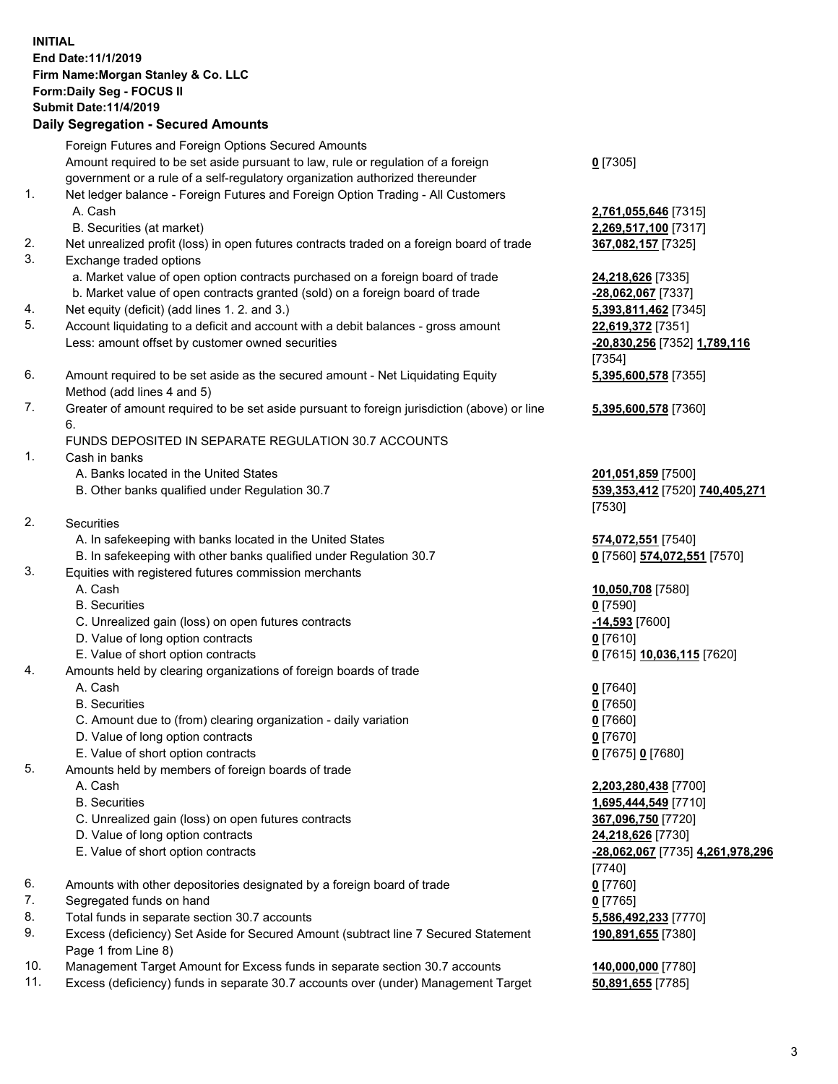## **INITIAL End Date:11/1/2019 Firm Name:Morgan Stanley & Co. LLC Form:Daily Seg - FOCUS II Submit Date:11/4/2019 Daily Segregation - Secured Amounts**

Foreign Futures and Foreign Options Secured Amounts Amount required to be set aside pursuant to law, rule or regulation of a foreign government or a rule of a self-regulatory organization authorized thereunder 1. Net ledger balance - Foreign Futures and Foreign Option Trading - All Customers A. Cash **2,761,055,646** [7315] B. Securities (at market) **2,269,517,100** [7317] 2. Net unrealized profit (loss) in open futures contracts traded on a foreign board of trade **367,082,157** [7325] 3. Exchange traded options a. Market value of open option contracts purchased on a foreign board of trade **24,218,626** [7335] b. Market value of open contracts granted (sold) on a foreign board of trade **-28,062,067** [7337] 4. Net equity (deficit) (add lines 1. 2. and 3.) **5,393,811,462** [7345] 5. Account liquidating to a deficit and account with a debit balances - gross amount **22,619,372** [7351] Less: amount offset by customer owned securities **-20,830,256** [7352] **1,789,116** 6. Amount required to be set aside as the secured amount - Net Liquidating Equity Method (add lines 4 and 5) 7. Greater of amount required to be set aside pursuant to foreign jurisdiction (above) or line 6. FUNDS DEPOSITED IN SEPARATE REGULATION 30.7 ACCOUNTS

- 1. Cash in banks
	- A. Banks located in the United States **201,051,859** [7500]
	- B. Other banks qualified under Regulation 30.7 **539,353,412** [7520] **740,405,271**
- 2. Securities
	- A. In safekeeping with banks located in the United States **574,072,551** [7540]
	- B. In safekeeping with other banks qualified under Regulation 30.7 **0** [7560] **574,072,551** [7570]
- 3. Equities with registered futures commission merchants
	-
	- B. Securities **0** [7590]
	- C. Unrealized gain (loss) on open futures contracts **-14,593** [7600]
	- D. Value of long option contracts **0** [7610]
- E. Value of short option contracts **0** [7615] **10,036,115** [7620]
- 4. Amounts held by clearing organizations of foreign boards of trade
	- A. Cash **0** [7640]
	- B. Securities **0** [7650]
	- C. Amount due to (from) clearing organization daily variation **0** [7660]
	- D. Value of long option contracts **0** [7670]
	- E. Value of short option contracts **0** [7675] **0** [7680]
- 5. Amounts held by members of foreign boards of trade
	-
	-
	- C. Unrealized gain (loss) on open futures contracts **367,096,750** [7720]
	- D. Value of long option contracts **24,218,626** [7730]
	- E. Value of short option contracts **-28,062,067** [7735] **4,261,978,296**
- 6. Amounts with other depositories designated by a foreign board of trade **0** [7760]
- 7. Segregated funds on hand **0** [7765]
- 8. Total funds in separate section 30.7 accounts **5,586,492,233** [7770]
- 9. Excess (deficiency) Set Aside for Secured Amount (subtract line 7 Secured Statement Page 1 from Line 8)
- 10. Management Target Amount for Excess funds in separate section 30.7 accounts **140,000,000** [7780]
- 11. Excess (deficiency) funds in separate 30.7 accounts over (under) Management Target **50,891,655** [7785]

**0** [7305]

[7354] **5,395,600,578** [7355]

**5,395,600,578** [7360]

[7530]

A. Cash **10,050,708** [7580]

 A. Cash **2,203,280,438** [7700] B. Securities **1,695,444,549** [7710] [7740] **190,891,655** [7380]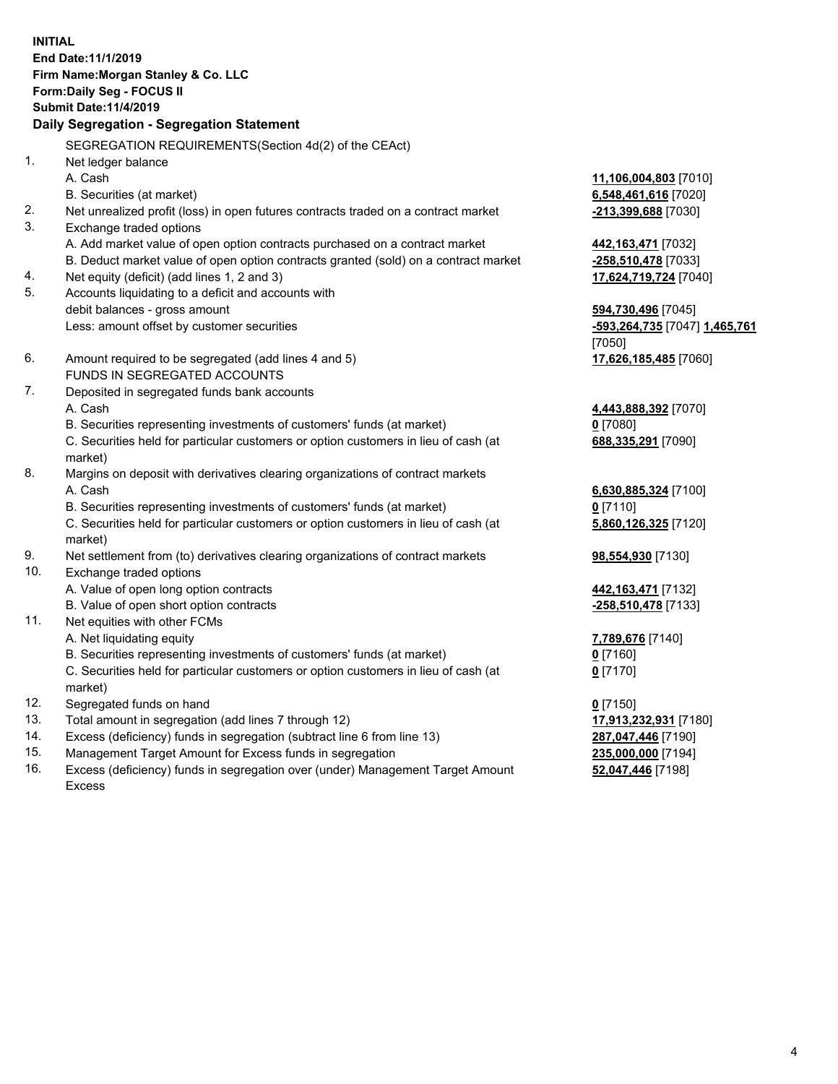**INITIAL End Date:11/1/2019 Firm Name:Morgan Stanley & Co. LLC Form:Daily Seg - FOCUS II Submit Date:11/4/2019 Daily Segregation - Segregation Statement** SEGREGATION REQUIREMENTS(Section 4d(2) of the CEAct) 1. Net ledger balance A. Cash **11,106,004,803** [7010] B. Securities (at market) **6,548,461,616** [7020] 2. Net unrealized profit (loss) in open futures contracts traded on a contract market **-213,399,688** [7030] 3. Exchange traded options A. Add market value of open option contracts purchased on a contract market **442,163,471** [7032] B. Deduct market value of open option contracts granted (sold) on a contract market **-258,510,478** [7033] 4. Net equity (deficit) (add lines 1, 2 and 3) **17,624,719,724** [7040] 5. Accounts liquidating to a deficit and accounts with debit balances - gross amount **594,730,496** [7045] Less: amount offset by customer securities **-593,264,735** [7047] **1,465,761** [7050] 6. Amount required to be segregated (add lines 4 and 5) **17,626,185,485** [7060] FUNDS IN SEGREGATED ACCOUNTS 7. Deposited in segregated funds bank accounts A. Cash **4,443,888,392** [7070] B. Securities representing investments of customers' funds (at market) **0** [7080] C. Securities held for particular customers or option customers in lieu of cash (at market) **688,335,291** [7090] 8. Margins on deposit with derivatives clearing organizations of contract markets A. Cash **6,630,885,324** [7100] B. Securities representing investments of customers' funds (at market) **0** [7110] C. Securities held for particular customers or option customers in lieu of cash (at market) **5,860,126,325** [7120] 9. Net settlement from (to) derivatives clearing organizations of contract markets **98,554,930** [7130] 10. Exchange traded options A. Value of open long option contracts **442,163,471** [7132] B. Value of open short option contracts **-258,510,478** [7133] 11. Net equities with other FCMs A. Net liquidating equity **7,789,676** [7140] B. Securities representing investments of customers' funds (at market) **0** [7160] C. Securities held for particular customers or option customers in lieu of cash (at market) **0** [7170] 12. Segregated funds on hand **0** [7150] 13. Total amount in segregation (add lines 7 through 12) **17,913,232,931** [7180] 14. Excess (deficiency) funds in segregation (subtract line 6 from line 13) **287,047,446** [7190]

- 15. Management Target Amount for Excess funds in segregation **235,000,000** [7194]
- 16. Excess (deficiency) funds in segregation over (under) Management Target Amount Excess

**52,047,446** [7198]